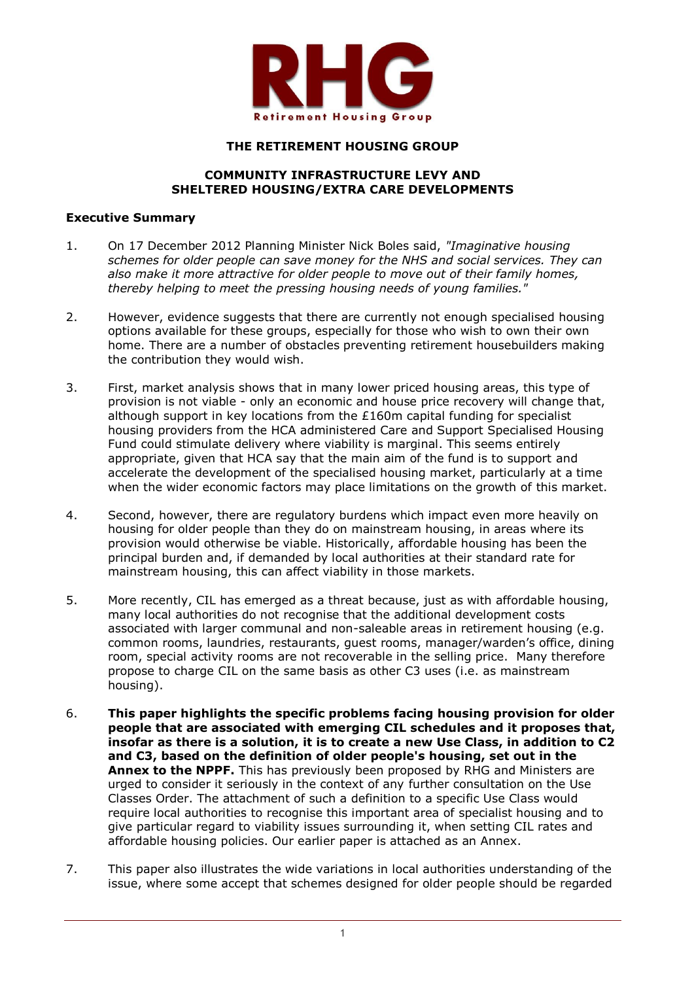

### **THE RETIREMENT HOUSING GROUP**

### **COMMUNITY INFRASTRUCTURE LEVY AND SHELTERED HOUSING/EXTRA CARE DEVELOPMENTS**

#### **Executive Summary**

- 1. On 17 December 2012 Planning Minister Nick Boles said, *"Imaginative housing schemes for older people can save money for the NHS and social services. They can also make it more attractive for older people to move out of their family homes, thereby helping to meet the pressing housing needs of young families."*
- 2. However, evidence suggests that there are currently not enough specialised housing options available for these groups, especially for those who wish to own their own home. There are a number of obstacles preventing retirement housebuilders making the contribution they would wish.
- 3. First, market analysis shows that in many lower priced housing areas, this type of provision is not viable - only an economic and house price recovery will change that, although support in key locations from the £160m capital funding for specialist housing providers from the HCA administered Care and Support Specialised Housing Fund could stimulate delivery where viability is marginal. This seems entirely appropriate, given that HCA say that the main aim of the fund is to support and accelerate the development of the specialised housing market, particularly at a time when the wider economic factors may place limitations on the growth of this market.
- 4. Second, however, there are regulatory burdens which impact even more heavily on housing for older people than they do on mainstream housing, in areas where its provision would otherwise be viable. Historically, affordable housing has been the principal burden and, if demanded by local authorities at their standard rate for mainstream housing, this can affect viability in those markets.
- 5. More recently, CIL has emerged as a threat because, just as with affordable housing, many local authorities do not recognise that the additional development costs associated with larger communal and non-saleable areas in retirement housing (e.g. common rooms, laundries, restaurants, guest rooms, manager/warden's office, dining room, special activity rooms are not recoverable in the selling price. Many therefore propose to charge CIL on the same basis as other C3 uses (i.e. as mainstream housing).
- 6. **This paper highlights the specific problems facing housing provision for older people that are associated with emerging CIL schedules and it proposes that, insofar as there is a solution, it is to create a new Use Class, in addition to C2 and C3, based on the definition of older people's housing, set out in the Annex to the NPPF.** This has previously been proposed by RHG and Ministers are urged to consider it seriously in the context of any further consultation on the Use Classes Order. The attachment of such a definition to a specific Use Class would require local authorities to recognise this important area of specialist housing and to give particular regard to viability issues surrounding it, when setting CIL rates and affordable housing policies. Our earlier paper is attached as an Annex.
- 7. This paper also illustrates the wide variations in local authorities understanding of the issue, where some accept that schemes designed for older people should be regarded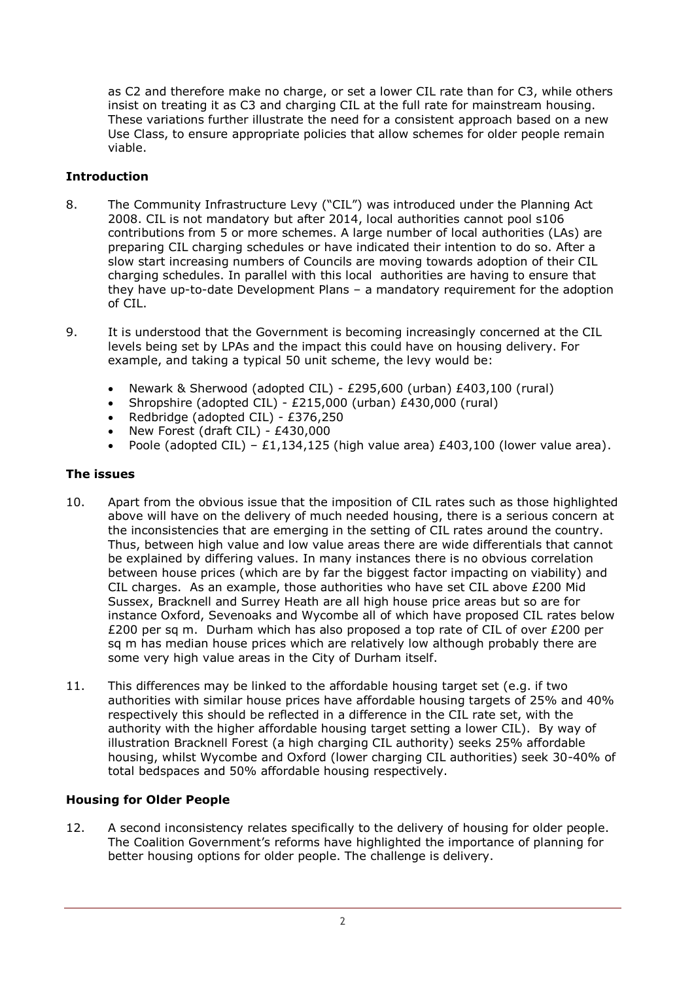as C2 and therefore make no charge, or set a lower CIL rate than for C3, while others insist on treating it as C3 and charging CIL at the full rate for mainstream housing. These variations further illustrate the need for a consistent approach based on a new Use Class, to ensure appropriate policies that allow schemes for older people remain viable.

# **Introduction**

- 8. The Community Infrastructure Levy ("CIL") was introduced under the Planning Act 2008. CIL is not mandatory but after 2014, local authorities cannot pool s106 contributions from 5 or more schemes. A large number of local authorities (LAs) are preparing CIL charging schedules or have indicated their intention to do so. After a slow start increasing numbers of Councils are moving towards adoption of their CIL charging schedules. In parallel with this local authorities are having to ensure that they have up-to-date Development Plans – a mandatory requirement for the adoption of CIL.
- 9. It is understood that the Government is becoming increasingly concerned at the CIL levels being set by LPAs and the impact this could have on housing delivery. For example, and taking a typical 50 unit scheme, the levy would be:
	- Newark & Sherwood (adopted CIL) £295,600 (urban) £403,100 (rural)
	- Shropshire (adopted CIL) £215,000 (urban) £430,000 (rural)
	- Redbridge (adopted CIL) £376,250
	- New Forest (draft CIL) £430,000
	- Poole (adopted CIL) £1,134,125 (high value area) £403,100 (lower value area).

## **The issues**

- 10. Apart from the obvious issue that the imposition of CIL rates such as those highlighted above will have on the delivery of much needed housing, there is a serious concern at the inconsistencies that are emerging in the setting of CIL rates around the country. Thus, between high value and low value areas there are wide differentials that cannot be explained by differing values. In many instances there is no obvious correlation between house prices (which are by far the biggest factor impacting on viability) and CIL charges. As an example, those authorities who have set CIL above £200 Mid Sussex, Bracknell and Surrey Heath are all high house price areas but so are for instance Oxford, Sevenoaks and Wycombe all of which have proposed CIL rates below £200 per sq m. Durham which has also proposed a top rate of CIL of over £200 per sq m has median house prices which are relatively low although probably there are some very high value areas in the City of Durham itself.
- 11. This differences may be linked to the affordable housing target set (e.g. if two authorities with similar house prices have affordable housing targets of 25% and 40% respectively this should be reflected in a difference in the CIL rate set, with the authority with the higher affordable housing target setting a lower CIL). By way of illustration Bracknell Forest (a high charging CIL authority) seeks 25% affordable housing, whilst Wycombe and Oxford (lower charging CIL authorities) seek 30-40% of total bedspaces and 50% affordable housing respectively.

## **Housing for Older People**

12. A second inconsistency relates specifically to the delivery of housing for older people. The Coalition Government's reforms have highlighted the importance of planning for better housing options for older people. The challenge is delivery.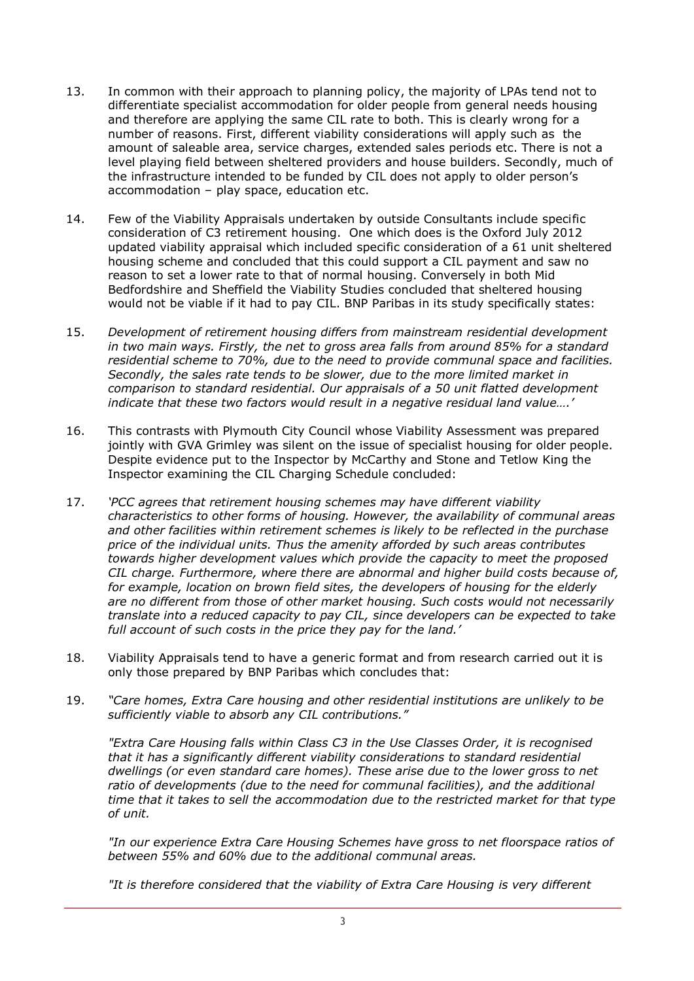- 13. In common with their approach to planning policy, the majority of LPAs tend not to differentiate specialist accommodation for older people from general needs housing and therefore are applying the same CIL rate to both. This is clearly wrong for a number of reasons. First, different viability considerations will apply such as the amount of saleable area, service charges, extended sales periods etc. There is not a level playing field between sheltered providers and house builders. Secondly, much of the infrastructure intended to be funded by CIL does not apply to older person's accommodation – play space, education etc.
- 14. Few of the Viability Appraisals undertaken by outside Consultants include specific consideration of C3 retirement housing. One which does is the Oxford July 2012 updated viability appraisal which included specific consideration of a 61 unit sheltered housing scheme and concluded that this could support a CIL payment and saw no reason to set a lower rate to that of normal housing. Conversely in both Mid Bedfordshire and Sheffield the Viability Studies concluded that sheltered housing would not be viable if it had to pay CIL. BNP Paribas in its study specifically states:
- 15. *Development of retirement housing differs from mainstream residential development in two main ways. Firstly, the net to gross area falls from around 85% for a standard residential scheme to 70%, due to the need to provide communal space and facilities. Secondly, the sales rate tends to be slower, due to the more limited market in comparison to standard residential. Our appraisals of a 50 unit flatted development indicate that these two factors would result in a negative residual land value….'*
- 16. This contrasts with Plymouth City Council whose Viability Assessment was prepared jointly with GVA Grimley was silent on the issue of specialist housing for older people. Despite evidence put to the Inspector by McCarthy and Stone and Tetlow King the Inspector examining the CIL Charging Schedule concluded:
- 17. *'PCC agrees that retirement housing schemes may have different viability characteristics to other forms of housing. However, the availability of communal areas and other facilities within retirement schemes is likely to be reflected in the purchase price of the individual units. Thus the amenity afforded by such areas contributes towards higher development values which provide the capacity to meet the proposed CIL charge. Furthermore, where there are abnormal and higher build costs because of, for example, location on brown field sites, the developers of housing for the elderly are no different from those of other market housing. Such costs would not necessarily translate into a reduced capacity to pay CIL, since developers can be expected to take full account of such costs in the price they pay for the land.'*
- 18. Viability Appraisals tend to have a generic format and from research carried out it is only those prepared by BNP Paribas which concludes that:
- 19. *"Care homes, Extra Care housing and other residential institutions are unlikely to be sufficiently viable to absorb any CIL contributions."*

*"Extra Care Housing falls within Class C3 in the Use Classes Order, it is recognised that it has a significantly different viability considerations to standard residential dwellings (or even standard care homes). These arise due to the lower gross to net ratio of developments (due to the need for communal facilities), and the additional time that it takes to sell the accommodation due to the restricted market for that type of unit.*

*"In our experience Extra Care Housing Schemes have gross to net floorspace ratios of between 55% and 60% due to the additional communal areas.*

*"It is therefore considered that the viability of Extra Care Housing is very different*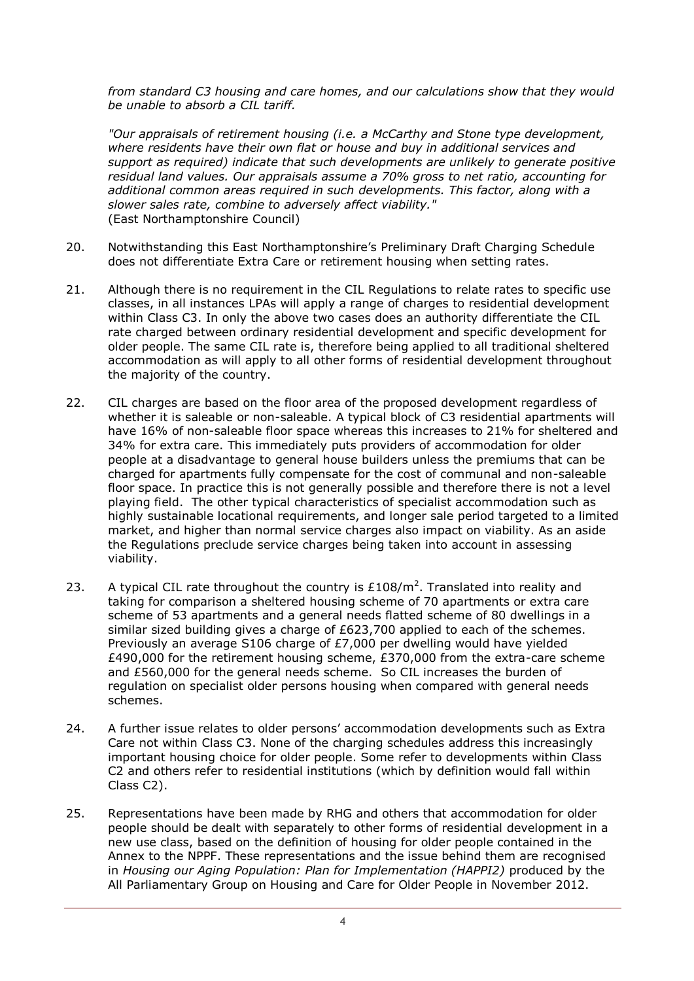*from standard C3 housing and care homes, and our calculations show that they would be unable to absorb a CIL tariff.*

*"Our appraisals of retirement housing (i.e. a McCarthy and Stone type development, where residents have their own flat or house and buy in additional services and support as required) indicate that such developments are unlikely to generate positive residual land values. Our appraisals assume a 70% gross to net ratio, accounting for additional common areas required in such developments. This factor, along with a slower sales rate, combine to adversely affect viability."* (East Northamptonshire Council)

- 20. Notwithstanding this East Northamptonshire's Preliminary Draft Charging Schedule does not differentiate Extra Care or retirement housing when setting rates.
- 21. Although there is no requirement in the CIL Regulations to relate rates to specific use classes, in all instances LPAs will apply a range of charges to residential development within Class C3. In only the above two cases does an authority differentiate the CIL rate charged between ordinary residential development and specific development for older people. The same CIL rate is, therefore being applied to all traditional sheltered accommodation as will apply to all other forms of residential development throughout the majority of the country.
- 22. CIL charges are based on the floor area of the proposed development regardless of whether it is saleable or non-saleable. A typical block of C3 residential apartments will have 16% of non-saleable floor space whereas this increases to 21% for sheltered and 34% for extra care. This immediately puts providers of accommodation for older people at a disadvantage to general house builders unless the premiums that can be charged for apartments fully compensate for the cost of communal and non-saleable floor space. In practice this is not generally possible and therefore there is not a level playing field. The other typical characteristics of specialist accommodation such as highly sustainable locational requirements, and longer sale period targeted to a limited market, and higher than normal service charges also impact on viability. As an aside the Regulations preclude service charges being taken into account in assessing viability.
- 23. A typical CIL rate throughout the country is  $£108/m<sup>2</sup>$ . Translated into reality and taking for comparison a sheltered housing scheme of 70 apartments or extra care scheme of 53 apartments and a general needs flatted scheme of 80 dwellings in a similar sized building gives a charge of £623,700 applied to each of the schemes. Previously an average S106 charge of £7,000 per dwelling would have yielded  $£490,000$  for the retirement housing scheme,  $£370,000$  from the extra-care scheme and £560,000 for the general needs scheme. So CIL increases the burden of regulation on specialist older persons housing when compared with general needs schemes.
- 24. A further issue relates to older persons' accommodation developments such as Extra Care not within Class C3. None of the charging schedules address this increasingly important housing choice for older people. Some refer to developments within Class C2 and others refer to residential institutions (which by definition would fall within Class C2).
- 25. Representations have been made by RHG and others that accommodation for older people should be dealt with separately to other forms of residential development in a new use class, based on the definition of housing for older people contained in the Annex to the NPPF. These representations and the issue behind them are recognised in *Housing our Aging Population: Plan for Implementation (HAPPI2)* produced by the All Parliamentary Group on Housing and Care for Older People in November 2012.